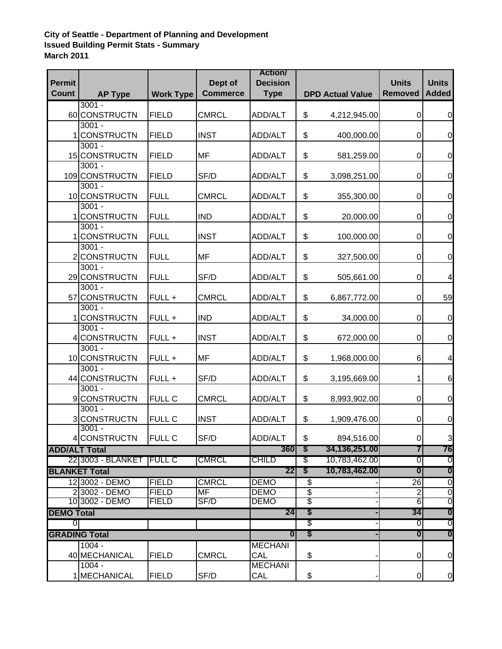## **City of Seattle - Department of Planning and Development Issued Building Permit Stats - Summary March 2011**

| <b>Permit</b>        |                            |                  | Dept of         | <b>Action/</b><br><b>Decision</b> |                           |                         | <b>Units</b>            | <b>Units</b>     |
|----------------------|----------------------------|------------------|-----------------|-----------------------------------|---------------------------|-------------------------|-------------------------|------------------|
| <b>Count</b>         | <b>AP Type</b>             | <b>Work Type</b> | <b>Commerce</b> | <b>Type</b>                       |                           | <b>DPD Actual Value</b> | <b>Removed</b>          | <b>Added</b>     |
|                      | $3001 -$                   |                  |                 |                                   |                           |                         |                         |                  |
|                      | 60 CONSTRUCTN              | <b>FIELD</b>     | <b>CMRCL</b>    | <b>ADD/ALT</b>                    | \$                        | 4,212,945.00            | 0                       | $\overline{0}$   |
|                      | $3001 -$                   |                  |                 |                                   |                           |                         |                         |                  |
|                      | 1 CONSTRUCTN               | <b>FIELD</b>     | <b>INST</b>     | <b>ADD/ALT</b>                    | \$                        | 400,000.00              | 0                       | $\mathbf 0$      |
|                      | $3001 -$                   |                  |                 |                                   |                           |                         |                         |                  |
|                      | 15 CONSTRUCTN<br>$3001 -$  | <b>FIELD</b>     | <b>MF</b>       | ADD/ALT                           | \$                        | 581,259.00              | 0                       | $\mathbf 0$      |
|                      | 109 CONSTRUCTN             | <b>FIELD</b>     | SF/D            | ADD/ALT                           | \$                        | 3,098,251.00            | 0                       | $\mathbf 0$      |
|                      | $3001 -$                   |                  |                 |                                   |                           |                         |                         |                  |
|                      | 10 CONSTRUCTN              | <b>FULL</b>      | <b>CMRCL</b>    | <b>ADD/ALT</b>                    | \$                        | 355,300.00              | 0                       | $\mathbf 0$      |
|                      | $3001 -$                   |                  |                 |                                   |                           |                         |                         |                  |
|                      | <b>CONSTRUCTN</b>          | <b>FULL</b>      | <b>IND</b>      | <b>ADD/ALT</b>                    | \$                        | 20,000.00               | $\pmb{0}$               | $\mathbf 0$      |
|                      | $3001 -$                   |                  |                 |                                   |                           |                         |                         |                  |
|                      | <b>CONSTRUCTN</b>          | <b>FULL</b>      | <b>INST</b>     | <b>ADD/ALT</b>                    | \$                        | 100,000.00              | 0                       | $\mathbf 0$      |
|                      | $3001 -$                   |                  |                 |                                   |                           |                         |                         |                  |
|                      | 2 CONSTRUCTN               | <b>FULL</b>      | MF              | <b>ADD/ALT</b>                    | \$                        | 327,500.00              | 0                       | $\mathbf 0$      |
|                      | $3001 -$                   |                  |                 |                                   |                           |                         |                         |                  |
|                      | 29 CONSTRUCTN<br>$3001 -$  | <b>FULL</b>      | SF/D            | <b>ADD/ALT</b>                    | \$                        | 505,661.00              | 0                       | 4                |
|                      | 57 CONSTRUCTN              | FULL +           | <b>CMRCL</b>    | <b>ADD/ALT</b>                    | \$                        | 6,867,772.00            | $\mathbf 0$             | 59               |
|                      | $3001 -$                   |                  |                 |                                   |                           |                         |                         |                  |
|                      | 1 CONSTRUCTN               | FULL +           | <b>IND</b>      | <b>ADD/ALT</b>                    | \$                        | 34,000.00               | $\mathbf 0$             | $\mathbf 0$      |
|                      | $3001 -$                   |                  |                 |                                   |                           |                         |                         |                  |
|                      | 4 CONSTRUCTN               | FULL +           | <b>INST</b>     | ADD/ALT                           | \$                        | 672,000.00              | $\mathbf 0$             | $\mathbf 0$      |
|                      | $3001 -$                   |                  |                 |                                   |                           |                         |                         |                  |
|                      | 10 CONSTRUCTN              | FULL +           | <b>MF</b>       | <b>ADD/ALT</b>                    | \$                        | 1,968,000.00            | 6                       | 4                |
|                      | $3001 -$                   |                  |                 |                                   |                           |                         |                         |                  |
|                      | 44 CONSTRUCTN              | FULL +           | SF/D            | <b>ADD/ALT</b>                    | \$                        | 3,195,669.00            | 1                       | 6                |
|                      | $3001 -$                   |                  |                 |                                   |                           |                         |                         |                  |
|                      | 9 CONSTRUCTN<br>$3001 -$   | FULL C           | <b>CMRCL</b>    | ADD/ALT                           | \$                        | 8,993,902.00            | 0                       | $\mathbf 0$      |
|                      | 3 CONSTRUCTN               | <b>FULL C</b>    | <b>INST</b>     | <b>ADD/ALT</b>                    | \$                        | 1,909,476.00            | 0                       | $\mathbf 0$      |
|                      | $3001 -$                   |                  |                 |                                   |                           |                         |                         |                  |
|                      | 4 CONSTRUCTN               | <b>FULL C</b>    | SF/D            | ADD/ALT                           | \$                        | 894,516.00              | 0I                      | 3                |
| <b>ADD/ALT Total</b> |                            |                  |                 | 360                               | S                         | 34,136,251.00           | 7                       | 76               |
|                      | 22 3003 - BLANKET   FULL C |                  | <b>CMRCL</b>    | CHILD                             | \$                        | 10,783,462.00           | 0                       | 0                |
|                      | <b>BLANKET Total</b>       |                  |                 | 22                                | $\boldsymbol{\mathsf{s}}$ | 10,783,462.00           | $\overline{\mathbf{0}}$ | $\boldsymbol{0}$ |
|                      | 12 3002 - DEMO             | <b>FIELD</b>     | <b>CMRCL</b>    | <b>DEMO</b>                       | \$                        |                         | 26                      | $\overline{0}$   |
|                      | 23002 - DEMO               | <b>FIELD</b>     | <b>MF</b>       | <b>DEMO</b>                       | \$                        |                         | $\overline{2}$          | $\overline{0}$   |
|                      | 10 3002 - DEMO             | <b>FIELD</b>     | SF/D            | <b>DEMO</b>                       | \$                        |                         | $\overline{6}$          | $\overline{0}$   |
| <b>DEMO Total</b>    |                            |                  |                 | 24                                | \$                        |                         | 34                      | $\boldsymbol{0}$ |
| 01                   |                            |                  |                 |                                   | \$                        |                         | 0                       | $\overline{0}$   |
|                      | <b>GRADING Total</b>       |                  |                 | $\boldsymbol{0}$                  | \$                        |                         | $\boldsymbol{0}$        | $\boldsymbol{0}$ |
|                      | $1004 -$                   |                  |                 | <b>MECHANI</b>                    |                           |                         |                         |                  |
|                      | 40 MECHANICAL              | <b>FIELD</b>     | <b>CMRCL</b>    | CAL                               | \$                        |                         | 0                       | $\boldsymbol{0}$ |
|                      | $1004 -$                   |                  |                 | <b>MECHANI</b>                    |                           |                         |                         |                  |
|                      | 1 MECHANICAL               | <b>FIELD</b>     | SF/D            | CAL                               | \$                        |                         | $\mathsf{O}\xspace$     | $\overline{0}$   |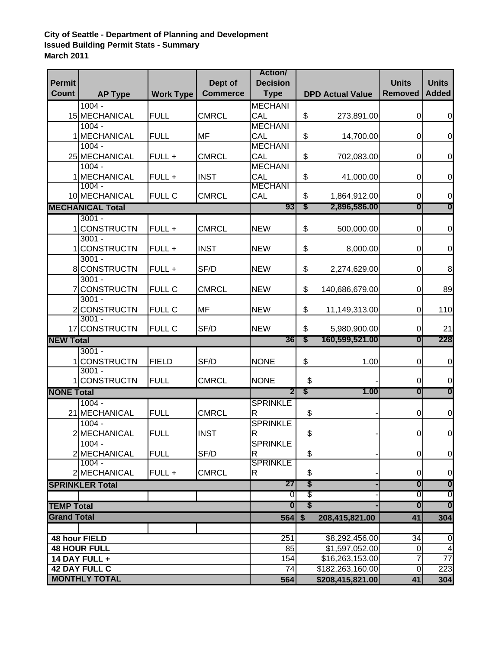## **City of Seattle - Department of Planning and Development Issued Building Permit Stats - Summary March 2011**

| <b>Permit</b>                           |                          |                  | Dept of         | <b>Action</b><br><b>Decision</b> |                |                         | <b>Units</b>     | <b>Units</b>     |
|-----------------------------------------|--------------------------|------------------|-----------------|----------------------------------|----------------|-------------------------|------------------|------------------|
| <b>Count</b>                            | <b>AP Type</b>           | <b>Work Type</b> | <b>Commerce</b> | <b>Type</b>                      |                | <b>DPD Actual Value</b> | <b>Removed</b>   | <b>Added</b>     |
|                                         | $1004 -$                 |                  |                 | <b>MECHANI</b>                   |                |                         |                  |                  |
|                                         | 15 MECHANICAL            | <b>FULL</b>      | <b>CMRCL</b>    | CAL                              | \$             | 273,891.00              | 0                | $\mathbf 0$      |
|                                         | $1004 -$                 |                  |                 | <b>MECHANI</b>                   |                |                         |                  |                  |
|                                         | 1 MECHANICAL             | <b>FULL</b>      | <b>MF</b>       | CAL                              | \$             | 14,700.00               | 0                | $\boldsymbol{0}$ |
|                                         | $1004 -$                 |                  |                 | <b>MECHANI</b>                   |                |                         |                  |                  |
|                                         | 25 MECHANICAL            | FULL +           | <b>CMRCL</b>    | CAL                              | \$             | 702,083.00              | 0                | $\mathbf 0$      |
|                                         | $1004 -$                 |                  |                 | <b>MECHANI</b>                   |                |                         |                  |                  |
|                                         | 1 MECHANICAL             | FULL +           | <b>INST</b>     | CAL                              | \$             | 41,000.00               | 0                | $\boldsymbol{0}$ |
|                                         | $1004 -$                 |                  |                 | <b>MECHANI</b>                   |                |                         |                  |                  |
|                                         | 10 MECHANICAL            | <b>FULL C</b>    | <b>CMRCL</b>    | CAL                              | \$             | 1,864,912.00            | 0                | $\boldsymbol{0}$ |
| <b>MECHANICAL Total</b>                 |                          |                  | 93              | $\boldsymbol{\mathsf{s}}$        | 2,896,586.00   | $\boldsymbol{0}$        | $\boldsymbol{0}$ |                  |
|                                         | $3001 -$                 |                  |                 |                                  |                |                         |                  |                  |
|                                         | <b>CONSTRUCTN</b>        | FULL +           | <b>CMRCL</b>    | <b>NEW</b>                       | \$             | 500,000.00              | 0                | $\mathbf 0$      |
|                                         | $3001 -$                 |                  |                 |                                  |                |                         |                  |                  |
|                                         | 1 CONSTRUCTN<br>$3001 -$ | FULL +           | <b>INST</b>     | <b>NEW</b>                       | \$             | 8,000.00                | 0                | $\mathbf 0$      |
|                                         | 8 CONSTRUCTN             | FULL +           | SF/D            | <b>NEW</b>                       | \$             | 2,274,629.00            | $\mathbf 0$      | 8                |
|                                         | $3001 -$                 |                  |                 |                                  |                |                         |                  |                  |
|                                         | 7 CONSTRUCTN             | FULL C           | <b>CMRCL</b>    | <b>NEW</b>                       | \$             | 140,686,679.00          | $\mathbf 0$      | 89               |
|                                         | $3001 -$                 |                  |                 |                                  |                |                         |                  |                  |
|                                         | 2CONSTRUCTN              | <b>FULL C</b>    | <b>MF</b>       | <b>NEW</b>                       | \$             | 11,149,313.00           | $\mathbf 0$      | 110              |
|                                         | $3001 -$                 |                  |                 |                                  |                |                         |                  |                  |
|                                         | 17 CONSTRUCTN            | <b>FULL C</b>    | SF/D            | <b>NEW</b>                       | \$             | 5,980,900.00            | $\pmb{0}$        | 21               |
| <b>NEW Total</b>                        |                          |                  | 36              | S                                | 160,599,521.00 | $\boldsymbol{0}$        | 228              |                  |
|                                         | $3001 -$                 |                  |                 |                                  |                |                         |                  |                  |
|                                         | 1 CONSTRUCTN             | <b>FIELD</b>     | SF/D            | <b>NONE</b>                      | \$             | 1.00                    | $\mathbf 0$      | $\mathbf 0$      |
|                                         | $3001 -$                 |                  |                 |                                  |                |                         |                  |                  |
|                                         | 1 CONSTRUCTN             | <b>FULL</b>      | <b>CMRCL</b>    | <b>NONE</b>                      | \$             |                         | 0                | $\mathbf 0$      |
| <b>NONE Total</b>                       |                          |                  |                 | $\overline{2}$                   | \$             | 1.00                    | $\boldsymbol{0}$ | $\boldsymbol{0}$ |
|                                         | $1004 -$                 |                  |                 | <b>SPRINKLE</b>                  |                |                         |                  |                  |
|                                         | 21 MECHANICAL            | <b>FULL</b>      | <b>CMRCL</b>    | R                                | \$             |                         | $\mathbf 0$      | $\mathbf 0$      |
|                                         | $1004 -$                 |                  |                 | <b>SPRINKLE</b>                  |                |                         |                  |                  |
|                                         | 2 MECHANICAL             | <b>FULL</b>      | <b>INST</b>     | ${\sf R}$                        | \$             |                         | $\overline{0}$   | $\overline{0}$   |
|                                         | $1004 -$                 |                  |                 | <b>SPRINKLE</b>                  |                |                         |                  |                  |
|                                         | 2 MECHANICAL             | <b>FULL</b>      | SF/D            | R                                | \$             |                         | 0                | $\mathbf 0$      |
|                                         | $1004 -$                 |                  |                 | <b>SPRINKLE</b>                  |                |                         |                  |                  |
|                                         | 2 MECHANICAL             | FULL +           | <b>CMRCL</b>    | R                                | \$             |                         | $\mathbf 0$      | $\mathbf 0$      |
|                                         | <b>SPRINKLER Total</b>   |                  |                 | 27                               | \$             |                         | 0                | $\boldsymbol{0}$ |
|                                         |                          |                  |                 | 0                                | \$             |                         | O                | 0                |
| <b>TEMP Total</b><br><b>Grand Total</b> |                          |                  | $\bf{0}$        | \$                               |                | 0                       | 0                |                  |
|                                         |                          |                  |                 | 564                              | \$             | 208,415,821.00          | 41               | 304              |
|                                         |                          |                  |                 |                                  |                |                         |                  |                  |
| 48 hour FIELD                           |                          |                  |                 | 251                              |                | \$8,292,456.00          | 34               | 0                |
| <b>48 HOUR FULL</b>                     |                          |                  |                 | $\overline{85}$                  |                | \$1,597,052.00          | 0                | 4                |
| 14 DAY FULL +                           |                          |                  |                 | 154                              |                | \$16,263,153.00         | 7                | $\overline{77}$  |
| <b>42 DAY FULL C</b>                    |                          |                  |                 | 74                               |                | \$182,263,160.00        | $\pmb{0}$        | 223              |
| <b>MONTHLY TOTAL</b>                    |                          |                  |                 | 564                              |                | \$208,415,821.00        | 41               | 304              |